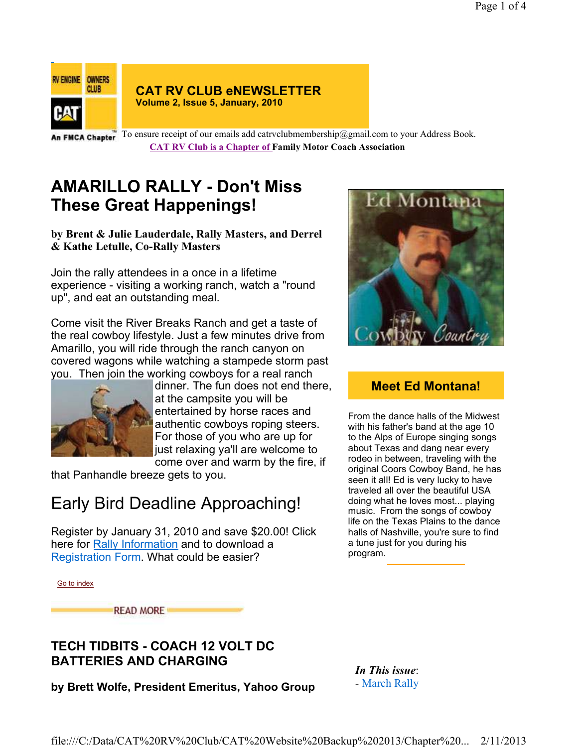

#### **CAT RV CLUB eNEWSLETTER Volume 2, Issue 5, January, 2010**

An FMCA Chapter To ensure receipt of our emails add catrvclubmembership@gmail.com to your Address Book. **CAT RV Club is a Chapter of Family Motor Coach Association** 

## **AMARILLO RALLY - Don't Miss These Great Happenings!**

**by Brent & Julie Lauderdale, Rally Masters, and Derrel & Kathe Letulle, Co-Rally Masters**

Join the rally attendees in a once in a lifetime experience - visiting a working ranch, watch a "round up", and eat an outstanding meal.

Come visit the River Breaks Ranch and get a taste of the real cowboy lifestyle. Just a few minutes drive from Amarillo, you will ride through the ranch canyon on covered wagons while watching a stampede storm past you. Then join the working cowboys for a real ranch



dinner. The fun does not end there, at the campsite you will be entertained by horse races and authentic cowboys roping steers. For those of you who are up for just relaxing ya'll are welcome to come over and warm by the fire, if

that Panhandle breeze gets to you.

# Early Bird Deadline Approaching!

Register by January 31, 2010 and save \$20.00! Click here for Rally Information and to download a Registration Form. What could be easier?



### **Meet Ed Montana!**

From the dance halls of the Midwest with his father's band at the age 10 to the Alps of Europe singing songs about Texas and dang near every rodeo in between, traveling with the original Coors Cowboy Band, he has seen it all! Ed is very lucky to have traveled all over the beautiful USA doing what he loves most... playing music. From the songs of cowboy life on the Texas Plains to the dance halls of Nashville, you're sure to find a tune just for you during his program.

Go to index

**READ MORE** 

### **TECH TIDBITS - COACH 12 VOLT DC BATTERIES AND CHARGING**

*In This issue*: - March Rally

**by Brett Wolfe, President Emeritus, Yahoo Group**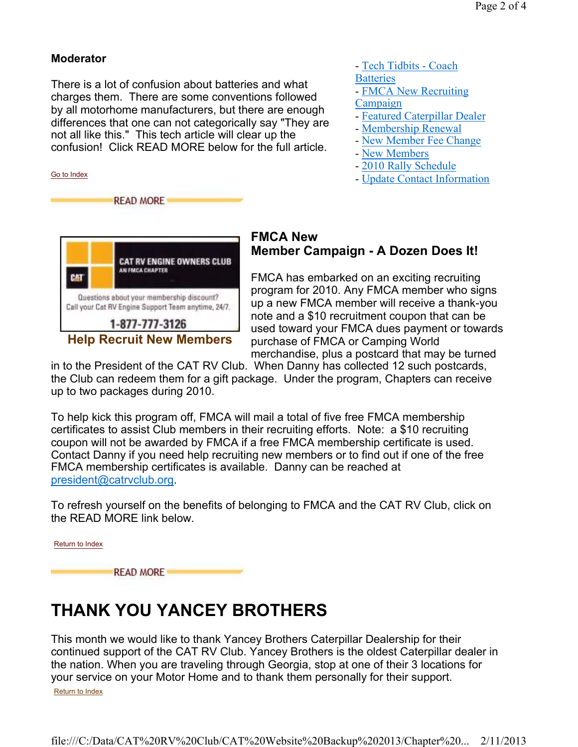#### **Moderator**

There is a lot of confusion about batteries and what charges them. There are some conventions followed by all motorhome manufacturers, but there are enough differences that one can not categorically say "They are not all like this." This tech article will clear up the confusion! Click READ MORE below for the full article.





### **FMCA New Member Campaign - A Dozen Does It!**

- Tech Tidbits - Coach

- FMCA New Recruiting

- Featured Caterpillar Dealer - Membership Renewal - New Member Fee Change

- Update Contact Information

**Batteries** 

Campaign

- New Members

- 2010 Rally Schedule

FMCA has embarked on an exciting recruiting program for 2010. Any FMCA member who signs up a new FMCA member will receive a thank-you note and a \$10 recruitment coupon that can be used toward your FMCA dues payment or towards purchase of FMCA or Camping World merchandise, plus a postcard that may be turned

in to the President of the CAT RV Club. When Danny has collected 12 such postcards, the Club can redeem them for a gift package. Under the program, Chapters can receive up to two packages during 2010.

To help kick this program off, FMCA will mail a total of five free FMCA membership certificates to assist Club members in their recruiting efforts. Note: a \$10 recruiting coupon will not be awarded by FMCA if a free FMCA membership certificate is used. Contact Danny if you need help recruiting new members or to find out if one of the free FMCA membership certificates is available. Danny can be reached at president@catrvclub.org.

To refresh yourself on the benefits of belonging to FMCA and the CAT RV Club, click on the READ MORE link below.

Return to Index **READ MORE** 

# **THANK YOU YANCEY BROTHERS**

This month we would like to thank Yancey Brothers Caterpillar Dealership for their continued support of the CAT RV Club. Yancey Brothers is the oldest Caterpillar dealer in the nation. When you are traveling through Georgia, stop at one of their 3 locations for your service on your Motor Home and to thank them personally for their support. Return to Index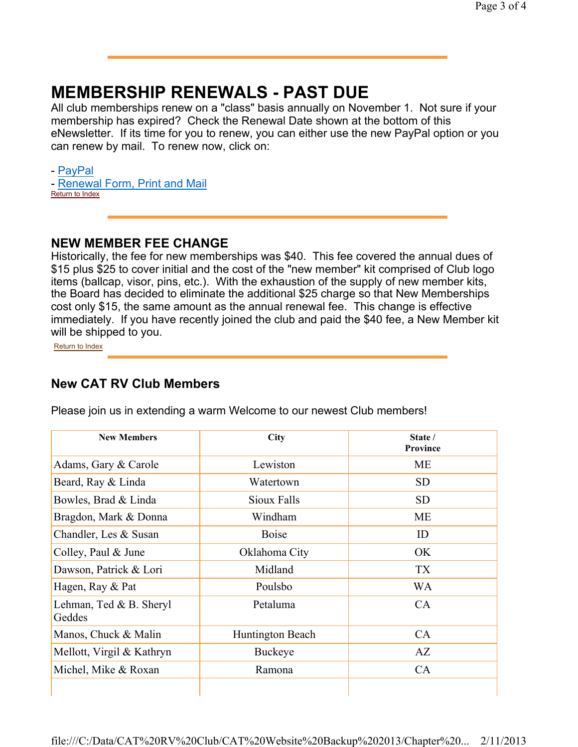### **MEMBERSHIP RENEWALS - PAST DUE**

All club memberships renew on a "class" basis annually on November 1. Not sure if your membership has expired? Check the Renewal Date shown at the bottom of this eNewsletter. If its time for you to renew, you can either use the new PayPal option or you can renew by mail. To renew now, click on:

- PayPal

- Renewal Form, Print and Mail

Return to Index

### **NEW MEMBER FEE CHANGE**

Historically, the fee for new memberships was \$40. This fee covered the annual dues of \$15 plus \$25 to cover initial and the cost of the "new member" kit comprised of Club logo items (ballcap, visor, pins, etc.). With the exhaustion of the supply of new member kits, the Board has decided to eliminate the additional \$25 charge so that New Memberships cost only \$15, the same amount as the annual renewal fee. This change is effective immediately. If you have recently joined the club and paid the \$40 fee, a New Member kit will be shipped to you.

Return to Index

### **New CAT RV Club Members**

| <b>New Members</b>                 | City             | State /<br>Province |  |
|------------------------------------|------------------|---------------------|--|
| Adams, Gary & Carole               | Lewiston         | <b>ME</b>           |  |
| Beard, Ray & Linda                 | Watertown        | <b>SD</b>           |  |
| Bowles, Brad & Linda               | Sioux Falls      | <b>SD</b>           |  |
| Bragdon, Mark & Donna              | Windham          | ME                  |  |
| Chandler, Les & Susan              | <b>Boise</b>     | ID                  |  |
| Colley, Paul & June                | Oklahoma City    | OK                  |  |
| Dawson, Patrick & Lori             | Midland          | <b>TX</b>           |  |
| Hagen, Ray & Pat                   | Poulsbo          | <b>WA</b>           |  |
| Lehman, Ted $&B.$ Sheryl<br>Geddes | Petaluma         | CA                  |  |
| Manos, Chuck & Malin               | Huntington Beach | CA                  |  |
| Mellott, Virgil & Kathryn          | <b>Buckeye</b>   | AZ                  |  |
| Michel, Mike & Roxan               | Ramona           |                     |  |
|                                    |                  |                     |  |

Please join us in extending a warm Welcome to our newest Club members!